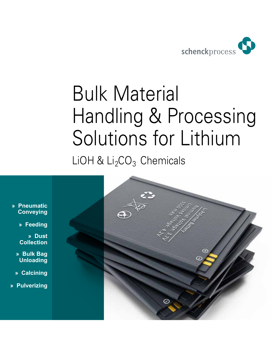

## Bulk Material Handling & Processing Solutions for Lithium LiOH &  $Li<sub>2</sub>CO<sub>3</sub>$  Chemicals

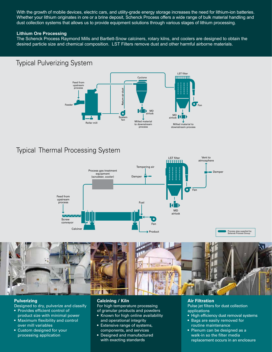With the growth of mobile devices, electric cars, and utility-grade energy storage increases the need for lithium-ion batteries. Whether your lithium originates in ore or a brine deposit, Schenck Process offers a wide range of bulk material handling and dust collection systems that allows us to provide equipment solutions through various stages of lithium processing.

#### **Lithium Ore Processing**

The Schenck Process Raymond Mills and Bartlett-Snow calciners, rotary kilns, and coolers are designed to obtain the desired particle size and chemical composition. LST Filters remove dust and other harmful airborne materials.

### Typical Pulverizing System



## Typical Thermal Processing System



#### **Pulverizing**

- Designed to dry, pulverize and classify
- Provides efficient control of product size with minimal power
- Maximum flexibility and control over mill variables
- Custom designed for your processing application

#### **Calcining / Kiln**  For high temperature processing of granular products and powders

- Known for high online availability and operational integrity
- Extensive range of systems, components, and services
- Designed and manufactured with exacting standards

#### **Air Filtration**

Pulse jet filters for dust collection applications

- High efficiency dust removal systems
- Bags are easily removed for
- routine maintenance • Plenum can be designed as a walk-in so the filter media replacement occurs in an enclosure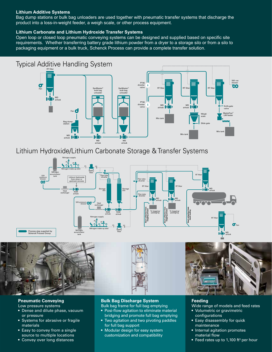#### **Lithium Additive Systems**

Bag dump stations or bulk bag unloaders are used together with pneumatic transfer systems that discharge the product into a loss-in-weight feeder, a weigh scale, or other process equipment.

#### **Lithium Carbonate and Lithium Hydroxide Transfer Systems**

Open loop or closed loop pneumatic conveying systems can be designed and supplied based on specific site requirements. Whether transferring battery grade lithium powder from a dryer to a storage silo or from a silo to packaging equipment or a bulk truck, Schenck Process can provide a complete transfer solution.



Lithium Hydroxide/Lithium Carbonate Storage & Transfer Systems





#### **Pneumatic Conveying**

- Low pressure systems
- Dense and dilute phase, vacuum or pressure
- Systems for abrasive or fragile materials
- Easy to convey from a single source to multiple locations
- Convey over long distances

#### **Bulk Bag Discharge System**

- Bulk bag frame for full bag emptying • Posi-flow agitation to eliminate material
- bridging and promote full bag emptying • Two agitation and two pivoting paddles for full bag support
- Modular design for easy system customization and compatibility

#### **Feeding**

Wide range of models and feed rates

- Volumetric or gravimetric configurations
- Easy disassembly for quick maintenance
- Internal agitation promotes material flow
- Feed rates up to 1,100 ft<sup>3</sup> per hour